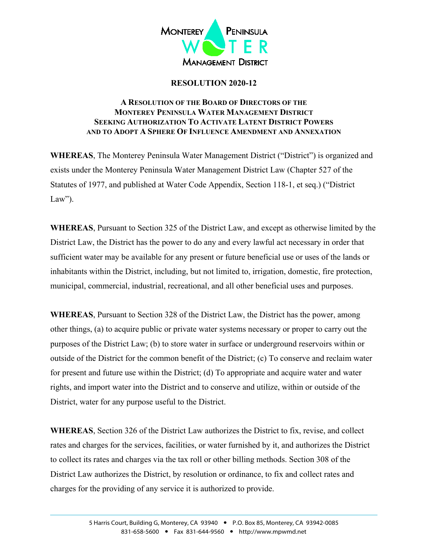

## **RESOLUTION 2020-12**

## **A RESOLUTION OF THE BOARD OF DIRECTORS OF THE MONTEREY PENINSULA WATER MANAGEMENT DISTRICT SEEKING AUTHORIZATION TO ACTIVATE LATENT DISTRICT POWERS AND TO ADOPT A SPHERE OF INFLUENCE AMENDMENT AND ANNEXATION**

**WHEREAS**, The Monterey Peninsula Water Management District ("District") is organized and exists under the Monterey Peninsula Water Management District Law (Chapter 527 of the Statutes of 1977, and published at Water Code Appendix, Section 118-1, et seq.) ("District Law").

**WHEREAS**, Pursuant to Section 325 of the District Law, and except as otherwise limited by the District Law, the District has the power to do any and every lawful act necessary in order that sufficient water may be available for any present or future beneficial use or uses of the lands or inhabitants within the District, including, but not limited to, irrigation, domestic, fire protection, municipal, commercial, industrial, recreational, and all other beneficial uses and purposes.

**WHEREAS**, Pursuant to Section 328 of the District Law, the District has the power, among other things, (a) to acquire public or private water systems necessary or proper to carry out the purposes of the District Law; (b) to store water in surface or underground reservoirs within or outside of the District for the common benefit of the District; (c) To conserve and reclaim water for present and future use within the District; (d) To appropriate and acquire water and water rights, and import water into the District and to conserve and utilize, within or outside of the District, water for any purpose useful to the District.

**WHEREAS**, Section 326 of the District Law authorizes the District to fix, revise, and collect rates and charges for the services, facilities, or water furnished by it, and authorizes the District to collect its rates and charges via the tax roll or other billing methods. Section 308 of the District Law authorizes the District, by resolution or ordinance, to fix and collect rates and charges for the providing of any service it is authorized to provide.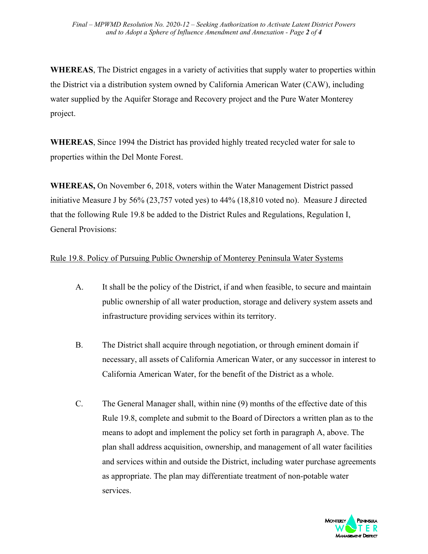**WHEREAS**, The District engages in a variety of activities that supply water to properties within the District via a distribution system owned by California American Water (CAW), including water supplied by the Aquifer Storage and Recovery project and the Pure Water Monterey project.

**WHEREAS**, Since 1994 the District has provided highly treated recycled water for sale to properties within the Del Monte Forest.

**WHEREAS,** On November 6, 2018, voters within the Water Management District passed initiative Measure J by 56% (23,757 voted yes) to 44% (18,810 voted no). Measure J directed that the following Rule 19.8 be added to the District Rules and Regulations, Regulation I, General Provisions:

## Rule 19.8. Policy of Pursuing Public Ownership of Monterey Peninsula Water Systems

- A. It shall be the policy of the District, if and when feasible, to secure and maintain public ownership of all water production, storage and delivery system assets and infrastructure providing services within its territory.
- B. The District shall acquire through negotiation, or through eminent domain if necessary, all assets of California American Water, or any successor in interest to California American Water, for the benefit of the District as a whole.
- C. The General Manager shall, within nine (9) months of the effective date of this Rule 19.8, complete and submit to the Board of Directors a written plan as to the means to adopt and implement the policy set forth in paragraph A, above. The plan shall address acquisition, ownership, and management of all water facilities and services within and outside the District, including water purchase agreements as appropriate. The plan may differentiate treatment of non-potable water services.

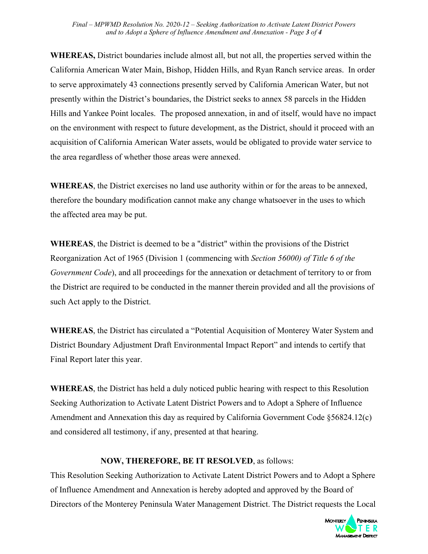*Final – MPWMD Resolution No. 2020-12 – Seeking Authorization to Activate Latent District Powers and to Adopt a Sphere of Influence Amendment and Annexation - Page 3 of 4*

**WHEREAS,** District boundaries include almost all, but not all, the properties served within the California American Water Main, Bishop, Hidden Hills, and Ryan Ranch service areas. In order to serve approximately 43 connections presently served by California American Water, but not presently within the District's boundaries, the District seeks to annex 58 parcels in the Hidden Hills and Yankee Point locales. The proposed annexation, in and of itself, would have no impact on the environment with respect to future development, as the District, should it proceed with an acquisition of California American Water assets, would be obligated to provide water service to the area regardless of whether those areas were annexed.

**WHEREAS**, the District exercises no land use authority within or for the areas to be annexed, therefore the boundary modification cannot make any change whatsoever in the uses to which the affected area may be put.

**WHEREAS**, the District is deemed to be a "district" within the provisions of the District Reorganization Act of 1965 (Division 1 (commencing with *Section 56000) of Title 6 of the Government Code*), and all proceedings for the annexation or detachment of territory to or from the District are required to be conducted in the manner therein provided and all the provisions of such Act apply to the District.

**WHEREAS**, the District has circulated a "Potential Acquisition of Monterey Water System and District Boundary Adjustment Draft Environmental Impact Report" and intends to certify that Final Report later this year.

**WHEREAS**, the District has held a duly noticed public hearing with respect to this Resolution Seeking Authorization to Activate Latent District Powers and to Adopt a Sphere of Influence Amendment and Annexation this day as required by California Government Code §56824.12(c) and considered all testimony, if any, presented at that hearing.

## **NOW, THEREFORE, BE IT RESOLVED**, as follows:

This Resolution Seeking Authorization to Activate Latent District Powers and to Adopt a Sphere of Influence Amendment and Annexation is hereby adopted and approved by the Board of Directors of the Monterey Peninsula Water Management District. The District requests the Local